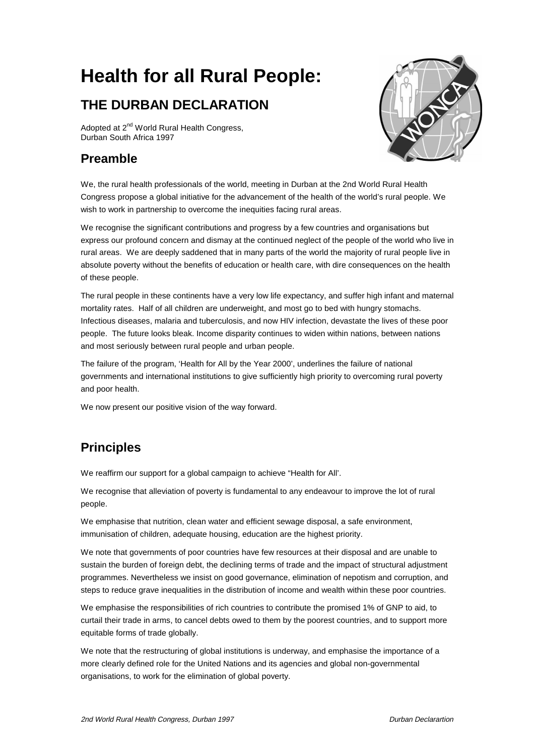# **Health for all Rural People:**

## **THE DURBAN DECLARATION**

Adopted at 2<sup>nd</sup> World Rural Health Congress, Durban South Africa 1997

#### **Preamble**



We, the rural health professionals of the world, meeting in Durban at the 2nd World Rural Health Congress propose a global initiative for the advancement of the health of the world's rural people. We wish to work in partnership to overcome the inequities facing rural areas.

We recognise the significant contributions and progress by a few countries and organisations but express our profound concern and dismay at the continued neglect of the people of the world who live in rural areas. We are deeply saddened that in many parts of the world the majority of rural people live in absolute poverty without the benefits of education or health care, with dire consequences on the health of these people.

The rural people in these continents have a very low life expectancy, and suffer high infant and maternal mortality rates. Half of all children are underweight, and most go to bed with hungry stomachs. Infectious diseases, malaria and tuberculosis, and now HIV infection, devastate the lives of these poor people. The future looks bleak. Income disparity continues to widen within nations, between nations and most seriously between rural people and urban people.

The failure of the program, 'Health for All by the Year 2000', underlines the failure of national governments and international institutions to give sufficiently high priority to overcoming rural poverty and poor health.

We now present our positive vision of the way forward.

### **Principles**

We reaffirm our support for a global campaign to achieve "Health for All'.

We recognise that alleviation of poverty is fundamental to any endeavour to improve the lot of rural people.

We emphasise that nutrition, clean water and efficient sewage disposal, a safe environment, immunisation of children, adequate housing, education are the highest priority.

We note that governments of poor countries have few resources at their disposal and are unable to sustain the burden of foreign debt, the declining terms of trade and the impact of structural adjustment programmes. Nevertheless we insist on good governance, elimination of nepotism and corruption, and steps to reduce grave inequalities in the distribution of income and wealth within these poor countries.

We emphasise the responsibilities of rich countries to contribute the promised 1% of GNP to aid, to curtail their trade in arms, to cancel debts owed to them by the poorest countries, and to support more equitable forms of trade globally.

We note that the restructuring of global institutions is underway, and emphasise the importance of a more clearly defined role for the United Nations and its agencies and global non-governmental organisations, to work for the elimination of global poverty.